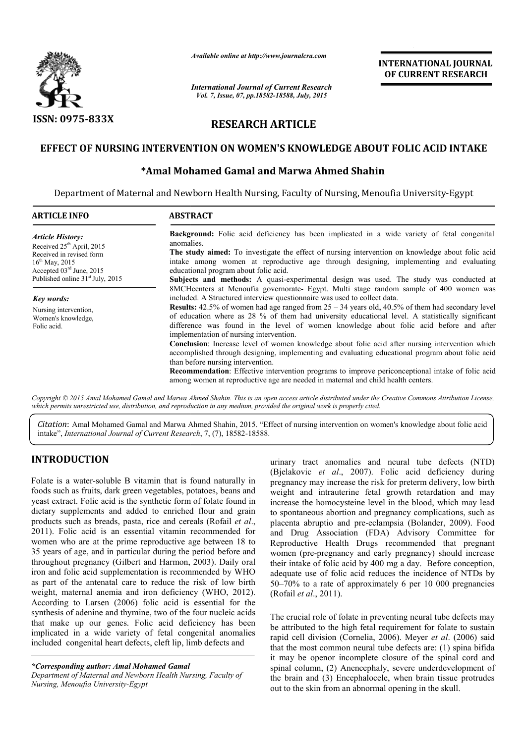

*Available online at http://www.journalcra.com*

*International Journal of Current Research Vol. 7, Issue, 07, pp.18582-18588, July, 2015*

**INTERNATIONAL INTERNATIONAL JOURNAL OF CURRENT RESEARCH** 

# **RESEARCH ARTICLE**

# EFFECT OF NURSING INTERVENTION ON WOMEN'S KNOWLEDGE ABOUT FOLIC ACID INTAKE<br>Amal Mohamed Gamal and Marwa Ahmed Shahin\*

# **\*Amal Mohamed Gamal and Marwa Ahmed Shahin Amal**

Department of Maternal and Newborn Health Nursing, Faculty of Nursing, Menoufia University-Egypt

| <b>ARTICLE INFO</b>                                                                                              | <b>ABSTRACT</b>                                                                                                                                                                                                                                                                                                                                                                                                                                                                                                                                                                                                                                                                                                                                                                                                                                                                                                                                                             |  |  |  |  |  |
|------------------------------------------------------------------------------------------------------------------|-----------------------------------------------------------------------------------------------------------------------------------------------------------------------------------------------------------------------------------------------------------------------------------------------------------------------------------------------------------------------------------------------------------------------------------------------------------------------------------------------------------------------------------------------------------------------------------------------------------------------------------------------------------------------------------------------------------------------------------------------------------------------------------------------------------------------------------------------------------------------------------------------------------------------------------------------------------------------------|--|--|--|--|--|
| <b>Article History:</b><br>Received $25th$ April, 2015<br>Received in revised form<br>$16^{\text{th}}$ May, 2015 | <b>Background:</b> Folic acid deficiency has been implicated in a wide variety of fetal congenital<br>anomalies.<br>The study aimed: To investigate the effect of nursing intervention on knowledge about folic acid<br>intake among women at reproductive age through designing, implementing and evaluating<br>educational program about folic acid.                                                                                                                                                                                                                                                                                                                                                                                                                                                                                                                                                                                                                      |  |  |  |  |  |
| Accepted $03rd$ June, 2015<br>Published online 31 <sup>st</sup> July, 2015                                       | Subjects and methods: A quasi-experimental design was used. The study was conducted at                                                                                                                                                                                                                                                                                                                                                                                                                                                                                                                                                                                                                                                                                                                                                                                                                                                                                      |  |  |  |  |  |
| <b>Key words:</b><br>Nursing intervention,<br>Women's knowledge,<br>Folic acid.                                  | 8MCH centers at Menoufia governorate Egypt. Multi stage random sample of 400 women was<br>included. A Structured interview question aire was used to collect data.<br><b>Results:</b> 42.5% of women had age ranged from $25 - 34$ years old, 40.5% of them had secondary level<br>of education where as 28 % of them had university educational level. A statistically significant<br>difference was found in the level of women knowledge about folic acid before and after<br>implementation of nursing intervention.<br><b>Conclusion</b> : Increase level of women knowledge about folic acid after nursing intervention which<br>accomplished through designing, implementing and evaluating educational program about folic acid<br>than before nursing intervention.<br><b>Recommendation:</b> Effective intervention programs to improve periconceptional intake of folic acid<br>among women at reproductive age are needed in maternal and child health centers. |  |  |  |  |  |

*which permits unrestricted use, distribution, and reproduction in any medium, provided the original work is properly cited. distribution, any medium,* 

Citation: Amal Mohamed Gamal and Marwa Ahmed Shahin, 2015. "Effect of nursing intervention on women's knowledge about folic acid intake", *International Journal of Current Research* , 7, (7), 18582-18588.

# **INTRODUCTION**

Folate is a water-soluble B vitamin that is found naturally in foods such as fruits, dark green vegetables, potatoes, beans and yeast extract. Folic acid is the synthetic form of folate found in dietary supplements and added to enriched flour and grain products such as breads, pasta, rice and cereals (Rofail *et al*., 2011). Folic acid is an essential vitamin recommended for women who are at the prime reproductive age between 18 to 35 years of age, and in particular during the period before and throughout pregnancy (Gilbert and Harmon, 2003). Daily oral iron and folic acid supplementation is recommended by WHO as part of the antenatal care to reduce the risk of low birth weight, maternal anemia and iron deficiency (WHO, 2012). According to Larsen (2006) folic acid is essential for the synthesis of adenine and thymine, two of the four nucleic acids that make up our genes. Folic acid deficiency has been implicated in a wide variety of fetal congenital anomalies included congenital heart defects, cleft lip, limb defect s essential for t<br>e four nucleic aci<br>efficiency has be<br>ngenital anomal<br>limb defects and

*\*Corresponding author: Amal Mohamed Gamal* 

*Department of Maternal and Newborn Health Nursing, Faculty of Nursing, Menoufia University-Egypt*

urinary tract anomalies and neural tube defects (NTD) urinary tract anomalies and neural tube defects (NTD) (Bjelakovic *et al.*, 2007). Folic acid deficiency during pregnancy may increase the risk for preterm delivery, low birth weight and intrauterine fetal growth retardation and may increase the homocysteine level in the blood, which may lead to spontaneous abortion and pregnancy complications, such as placenta abruptio and pre-eclampsia (Bolander, 2009). Food and Drug Association (FDA) Advisory Committee for Reproductive Health Drugs recommended that pregnant women (pre-pregnancy and early pregnancy) should increase their intake of folic acid by 400 mg a day. Before conception, adequate use of folic acid reduces the incidence of NTDs by 50–70% to a rate of approximately 6 per 10 000 pregnancies (Rofail *et al*., 2011). and intrauterine fetal growth retardation and may<br>the homocysteine level in the blood, which may lead<br>aneous abortion and pregnancy complications, such as Health Drugs recommended that pregnant<br>pregnancy and early pregnancy) should increase<br>of folic acid by 400 mg a day. Before conception,<br>of folic acid reduces the incidence of NTDs by

The crucial role of folate in preventing neural tube defects may The crucial role of folate in preventing neural tube defects may<br>be attributed to the high fetal requirement for folate to sustain rapid cell division (Cornelia, 2006). Meyer *et al*. (2006) said that the most common neural tube defects are: (1) spina bifida it may be openor incomplete closure of the spinal cord and spinal column, (2) Anencephaly, severe underdevelopment of the brain and (3) Encephalocele, when brain tissue protrudes out to the skin from an abnormal opening in the skull. be openor incomplete closure of the spinal cord a<br>olumn, (2) Anencephaly, severe underdevelopment<br>n and (3) Encephalocele, when brain tissue protruc<br>ne skin from an abnormal opening in the skull.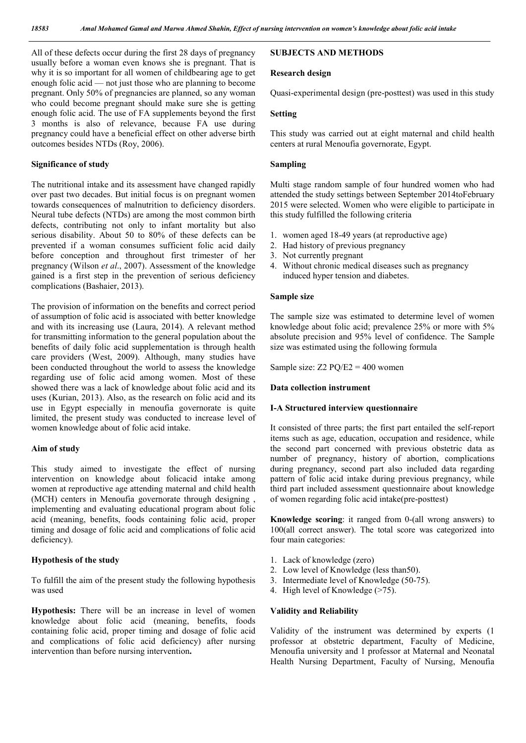All of these defects occur during the first 28 days of pregnancy usually before a woman even knows she is pregnant. That is why it is so important for all women of childbearing age to get enough folic acid — not just those who are planning to become pregnant. Only 50% of pregnancies are planned, so any woman who could become pregnant should make sure she is getting enough folic acid. The use of FA supplements beyond the first 3 months is also of relevance, because FA use during pregnancy could have a beneficial effect on other adverse birth outcomes besides NTDs (Roy, 2006).

#### **Significance of study**

The nutritional intake and its assessment have changed rapidly over past two decades. But initial focus is on pregnant women towards consequences of malnutrition to deficiency disorders. Neural tube defects (NTDs) are among the most common birth defects, contributing not only to infant mortality but also serious disability. About 50 to 80% of these defects can be prevented if a woman consumes sufficient folic acid daily before conception and throughout first trimester of her pregnancy (Wilson *et al*., 2007). Assessment of the knowledge gained is a first step in the prevention of serious deficiency complications (Bashaier, 2013).

The provision of information on the benefits and correct period of assumption of folic acid is associated with better knowledge and with its increasing use (Laura, 2014). A relevant method for transmitting information to the general population about the benefits of daily folic acid supplementation is through health care providers (West, 2009). Although, many studies have been conducted throughout the world to assess the knowledge regarding use of folic acid among women. Most of these showed there was a lack of knowledge about folic acid and its uses (Kurian, 2013). Also, as the research on folic acid and its use in Egypt especially in menoufia governorate is quite limited, the present study was conducted to increase level of women knowledge about of folic acid intake.

# **Aim of study**

This study aimed to investigate the effect of nursing intervention on knowledge about folicacid intake among women at reproductive age attending maternal and child health (MCH) centers in Menoufia governorate through designing , implementing and evaluating educational program about folic acid (meaning, benefits, foods containing folic acid, proper timing and dosage of folic acid and complications of folic acid deficiency).

#### **Hypothesis of the study**

To fulfill the aim of the present study the following hypothesis was used

**Hypothesis:** There will be an increase in level of women knowledge about folic acid (meaning, benefits, foods containing folic acid, proper timing and dosage of folic acid and complications of folic acid deficiency) after nursing intervention than before nursing intervention**.**

# **SUBJECTS AND METHODS**

#### **Research design**

Quasi-experimental design (pre-posttest) was used in this study

#### **Setting**

This study was carried out at eight maternal and child health centers at rural Menoufia governorate, Egypt.

#### **Sampling**

Multi stage random sample of four hundred women who had attended the study settings between September 2014toFebruary 2015 were selected. Women who were eligible to participate in this study fulfilled the following criteria

- 1. women aged 18-49 years (at reproductive age)
- 2. Had history of previous pregnancy
- 3. Not currently pregnant
- 4. Without chronic medical diseases such as pregnancy induced hyper tension and diabetes.

#### **Sample size**

The sample size was estimated to determine level of women knowledge about folic acid; prevalence 25% or more with 5% absolute precision and 95% level of confidence. The Sample size was estimated using the following formula

Sample size:  $Z2$  PO/E2 = 400 women

#### **Data collection instrument**

#### **I-A Structured interview questionnaire**

It consisted of three parts; the first part entailed the self-report items such as age, education, occupation and residence, while the second part concerned with previous obstetric data as number of pregnancy, history of abortion, complications during pregnancy, second part also included data regarding pattern of folic acid intake during previous pregnancy, while third part included assessment questionnaire about knowledge of women regarding folic acid intake(pre-posttest)

**Knowledge scoring**: it ranged from 0-(all wrong answers) to 100(all correct answer). The total score was categorized into four main categories:

- 1. Lack of knowledge (zero)
- 2. Low level of Knowledge (less than50).
- 3. Intermediate level of Knowledge (50-75).
- 4. High level of Knowledge (>75).

#### **Validity and Reliability**

Validity of the instrument was determined by experts (1 professor at obstetric department, Faculty of Medicine, Menoufia university and 1 professor at Maternal and Neonatal Health Nursing Department, Faculty of Nursing, Menoufia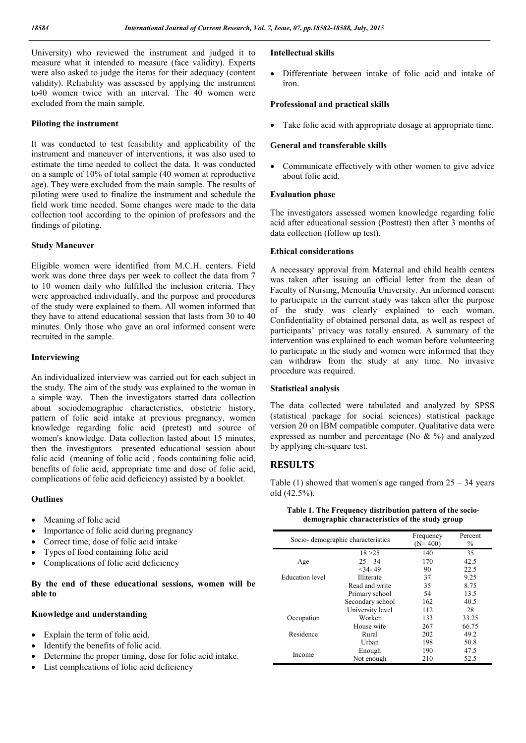University) who reviewed the instrument and judged it to measure what it intended to measure (face validity). Experts were also asked to judge the items for their adequacy (content validity). Reliability was assessed by applying the instrument to40 women twice with an interval. The 40 women were excluded from the main sample.

## **Piloting the instrument**

It was conducted to test feasibility and applicability of the instrument and maneuver of interventions, it was also used to estimate the time needed to collect the data. It was conducted on a sample of 10% of total sample (40 women at reproductive age). They were excluded from the main sample. The results of piloting were used to finalize the instrument and schedule the field work time needed. Some changes were made to the data collection tool according to the opinion of professors and the findings of piloting.

# **Study Maneuver**

Eligible women were identified from M.C.H. centers. Field work was done three days per week to collect the data from 7 to 10 women daily who fulfilled the inclusion criteria. They were approached individually, and the purpose and procedures of the study were explained to them. All women informed that they have to attend educational session that lasts from 30 to 40 minutes. Only those who gave an oral informed consent were recruited in the sample.

### **Interviewing**

An individualized interview was carried out for each subject in the study. The aim of the study was explained to the woman in a simple way. Then the investigators started data collection about sociodemographic characteristics, obstetric history, pattern of folic acid intake at previous pregnancy, women knowledge regarding folic acid (pretest) and source of women's knowledge. Data collection lasted about 15 minutes, then the investigators presented educational session about folic acid (meaning of folic acid , foods containing folic acid, benefits of folic acid, appropriate time and dose of folic acid, complications of folic acid deficiency) assisted by a booklet.

### **Outlines**

- Meaning of folic acid
- Importance of folic acid during pregnancy
- Correct time, dose of folic acid intake
- Types of food containing folic acid
- Complications of folic acid deficiency

# **By the end of these educational sessions, women will be able to**

### **Knowledge and understanding**

- Explain the term of folic acid.
- Identify the benefits of folic acid.
- Determine the proper timing, dose for folic acid intake.
- List complications of folic acid deficiency

## **Intellectual skills**

 Differentiate between intake of folic acid and intake of iron.

### **Professional and practical skills**

Take folic acid with appropriate dosage at appropriate time.

## **General and transferable skills**

• Communicate effectively with other women to give advice about folic acid.

# **Evaluation phase**

The investigators assessed women knowledge regarding folic acid after educational session (Posttest) then after 3 months of data collection (follow up test).

### **Ethical considerations**

A necessary approval from Maternal and child health centers was taken after issuing an official letter from the dean of Faculty of Nursing, Menoufia University. An informed consent to participate in the current study was taken after the purpose of the study was clearly explained to each woman. Confidentiality of obtained personal data, as well as respect of participants' privacy was totally ensured. A summary of the intervention was explained to each woman before volunteering to participate in the study and women were informed that they can withdraw from the study at any time. No invasive procedure was required.

### **Statistical analysis**

The data collected were tabulated and analyzed by SPSS (statistical package for social sciences) statistical package version 20 on IBM compatible computer. Qualitative data were expressed as number and percentage (No & %) and analyzed by applying chi-square test.

# **RESULTS**

Table  $(1)$  showed that women's age ranged from  $25 - 34$  years old (42.5%).

| Socio-demographic characteristics |                  | Frequency<br>$(N=400)$ | Percent<br>$\%$ |
|-----------------------------------|------------------|------------------------|-----------------|
|                                   | 18 > 25          | 140                    | 35              |
| Age                               | $25 - 34$        | 170                    | 42.5            |
|                                   | $<$ 34 - 49      | 90                     | 22.5            |
| <b>Education</b> level            | Illiterate       | 37                     | 9.25            |
|                                   | Read and write   | 35                     | 8.75            |
|                                   | Primary school   | 54                     | 13.5            |
|                                   | Secondary school | 162                    | 40.5            |
|                                   | University level | 112                    | 28              |
| Occupation                        | Worker           | 133                    | 33.25           |
|                                   | House wife       | 267                    | 66.75           |
| Residence                         | Rural            | 202                    | 49.2            |
|                                   | Urban            | 198                    | 50.8            |
|                                   | Enough           | 190                    | 47.5            |
| Income                            | Not enough       | 210                    | 52.5            |

#### **Table 1. The Frequency distribution pattern of the sociodemographic characteristics of the study group**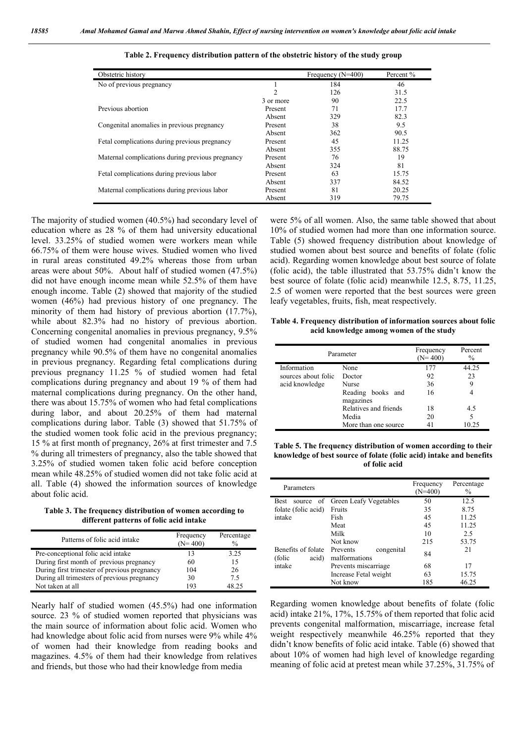| Obstetric history                                |                | Frequency $(N=400)$ | Percent % |
|--------------------------------------------------|----------------|---------------------|-----------|
| No of previous pregnancy                         |                | 184                 | 46        |
|                                                  | $\mathfrak{D}$ | 126                 | 31.5      |
|                                                  | 3 or more      | 90                  | 22.5      |
| Previous abortion                                | Present        | 71                  | 17.7      |
|                                                  | Absent         | 329                 | 82.3      |
| Congenital anomalies in previous pregnancy       | Present        | 38                  | 9.5       |
|                                                  | Absent         | 362                 | 90.5      |
| Fetal complications during previous pregnancy    | Present        | 45                  | 11.25     |
|                                                  | Absent         | 355                 | 88.75     |
| Maternal complications during previous pregnancy | Present        | 76                  | 19        |
|                                                  | Absent         | 324                 | 81        |
| Fetal complications during previous labor        | Present        | 63                  | 15.75     |
|                                                  | Absent         | 337                 | 84.52     |
| Maternal complications during previous labor     | Present        | 81                  | 20.25     |
|                                                  | Absent         | 319                 | 79.75     |

**Table 2. Frequency distribution pattern of the obstetric history of the study group**

The majority of studied women (40.5%) had secondary level of education where as 28 % of them had university educational level. 33.25% of studied women were workers mean while 66.75% of them were house wives. Studied women who lived in rural areas constituted 49.2% whereas those from urban areas were about 50%. About half of studied women (47.5%) did not have enough income mean while 52.5% of them have enough income. Table (2) showed that majority of the studied women (46%) had previous history of one pregnancy. The minority of them had history of previous abortion (17.7%), while about 82.3% had no history of previous abortion. Concerning congenital anomalies in previous pregnancy, 9.5% of studied women had congenital anomalies in previous pregnancy while 90.5% of them have no congenital anomalies in previous pregnancy. Regarding fetal complications during previous pregnancy 11.25 % of studied women had fetal complications during pregnancy and about 19 % of them had maternal complications during pregnancy. On the other hand, there was about 15.75% of women who had fetal complications during labor, and about 20.25% of them had maternal complications during labor. Table (3) showed that 51.75% of the studied women took folic acid in the previous pregnancy; 15 % at first month of pregnancy, 26% at first trimester and 7.5 % during all trimesters of pregnancy, also the table showed that 3.25% of studied women taken folic acid before conception mean while 48.25% of studied women did not take folic acid at all. Table (4) showed the information sources of knowledge about folic acid.

**Table 3. The frequency distribution of women according to different patterns of folic acid intake**

| Patterns of folic acid intake                | Frequency<br>$(N=400)$ | Percentage<br>$\frac{0}{0}$ |
|----------------------------------------------|------------------------|-----------------------------|
| Pre-conceptional folic acid intake           |                        | 3.25                        |
| During first month of previous pregnancy     | 60                     | 15                          |
| During first trimester of previous pregnancy | 104                    | 26                          |
| During all trimesters of previous pregnancy  | 30                     | 75                          |
| Not taken at all                             | 193                    | 18 75                       |

Nearly half of studied women (45.5%) had one information source. 23 % of studied women reported that physicians was the main source of information about folic acid. Women who had knowledge about folic acid from nurses were 9% while 4% of women had their knowledge from reading books and magazines. 4.5% of them had their knowledge from relatives and friends, but those who had their knowledge from media

were 5% of all women. Also, the same table showed that about 10% of studied women had more than one information source. Table (5) showed frequency distribution about knowledge of studied women about best source and benefits of folate (folic acid). Regarding women knowledge about best source of folate (folic acid), the table illustrated that 53.75% didn't know the best source of folate (folic acid) meanwhile 12.5, 8.75, 11.25, 2.5 of women were reported that the best sources were green leafy vegetables, fruits, fish, meat respectively.

**Table 4. Frequency distribution of information sources about folic acid knowledge among women of the study**

| Parameter           |                                | Frequency<br>$(N=400)$ | Percent<br>$\%$ |
|---------------------|--------------------------------|------------------------|-----------------|
| Information         | None                           | 177                    | 44.25           |
| sources about folic | Doctor                         | 92                     | 23              |
| acid knowledge      | Nurse                          | 36                     | 9               |
|                     | Reading books and<br>magazines | 16                     |                 |
|                     | Relatives and friends          | 18                     | 4.5             |
|                     | Media                          | 20                     | 5               |
|                     | More than one source           |                        | 10.25           |

**Table 5. The frequency distribution of women according to their knowledge of best source of folate (folic acid) intake and benefits of folic acid**

| Parameters                             |                                               | Frequency<br>$(N=400)$ | Percentage<br>$\frac{0}{0}$ |
|----------------------------------------|-----------------------------------------------|------------------------|-----------------------------|
| <b>Best</b><br>source                  | of Green Leafy Vegetables                     | 50                     | 12.5                        |
| folate (folic acid)                    | Fruits                                        | 35                     | 8.75                        |
| intake                                 | Fish                                          | 45                     | 11.25                       |
|                                        | Meat                                          | 45                     | 11.25                       |
|                                        | Milk                                          | 10                     | 2.5                         |
|                                        | Not know                                      | 215                    | 53.75                       |
| Benefits of folate<br>(folic)<br>acid) | congenital<br>Prevents<br>malformations       | 84                     | 21                          |
| intake                                 | Prevents miscarriage<br>Increase Fetal weight |                        | 17                          |
|                                        |                                               |                        | 15.75                       |
|                                        | Not know                                      | 185                    | 46.25                       |

Regarding women knowledge about benefits of folate (folic acid) intake 21%, 17%, 15.75% of them reported that folic acid prevents congenital malformation, miscarriage, increase fetal weight respectively meanwhile 46.25% reported that they didn't know benefits of folic acid intake. Table (6) showed that about 10% of women had high level of knowledge regarding meaning of folic acid at pretest mean while 37.25%, 31.75% of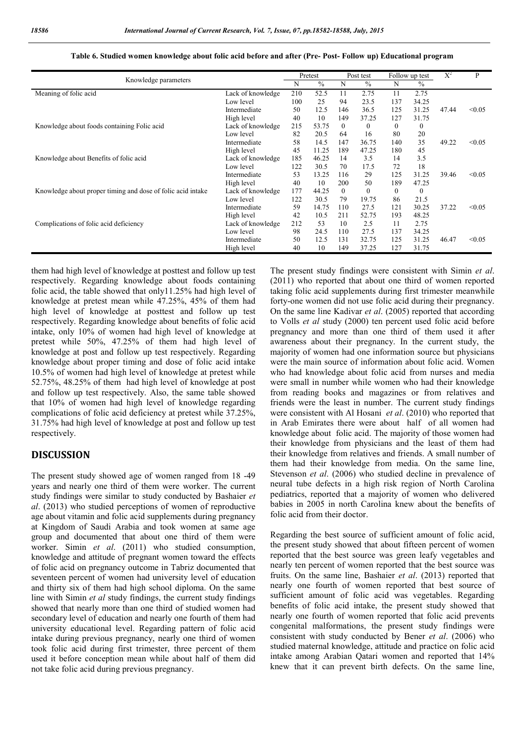| Knowledge parameters                                        |                   | Pretest |       | Post test |               | Follow up test |                  | $X^2$ | P      |
|-------------------------------------------------------------|-------------------|---------|-------|-----------|---------------|----------------|------------------|-------|--------|
|                                                             |                   | N       | $\%$  | N         | $\frac{0}{0}$ | N              | $\frac{0}{0}$    |       |        |
| Meaning of folic acid                                       | Lack of knowledge | 210     | 52.5  | 11        | 2.75          | 11             | 2.75             |       |        |
|                                                             | Low level         | 100     | 25    | 94        | 23.5          | 137            | 34.25            |       |        |
|                                                             | Intermediate      | 50      | 12.5  | 146       | 36.5          | 125            | 31.25            | 47.44 | < 0.05 |
|                                                             | High level        | 40      | 10    | 149       | 37.25         | 127            | 31.75            |       |        |
| Knowledge about foods containing Folic acid                 | Lack of knowledge | 215     | 53.75 | $\Omega$  | 0             | $\Omega$       | $\theta$         |       |        |
|                                                             | Low level         | 82      | 20.5  | 64        | 16            | 80             | 20               |       |        |
|                                                             | Intermediate      | 58      | 14.5  | 147       | 36.75         | 140            | 35               | 49.22 | < 0.05 |
|                                                             | High level        | 45      | 11.25 | 189       | 47.25         | 180            | 45               |       |        |
| Knowledge about Benefits of folic acid                      | Lack of knowledge | 185     | 46.25 | 14        | 3.5           | 14             | 3.5              |       |        |
|                                                             | Low level         | 122     | 30.5  | 70        | 17.5          | 72             | 18               |       |        |
|                                                             | Intermediate      | 53      | 13.25 | 116       | 29            | 125            | 31.25            | 39.46 | < 0.05 |
|                                                             | High level        | 40      | 10    | 200       | 50            | 189            | 47.25            |       |        |
| Knowledge about proper timing and dose of folic acid intake | Lack of knowledge | 177     | 44.25 | $\theta$  | $\Omega$      | $\mathbf{0}$   | $\boldsymbol{0}$ |       |        |
|                                                             | Low level         | 122     | 30.5  | 79        | 19.75         | 86             | 21.5             |       |        |
|                                                             | Intermediate      | 59      | 14.75 | 110       | 27.5          | 121            | 30.25            | 37.22 | < 0.05 |
|                                                             | High level        | 42      | 10.5  | 211       | 52.75         | 193            | 48.25            |       |        |
| Complications of folic acid deficiency                      | Lack of knowledge | 212     | 53    | 10        | 2.5           | 11             | 2.75             |       |        |
|                                                             | Low level         | 98      | 24.5  | 110       | 27.5          | 137            | 34.25            |       |        |
|                                                             | Intermediate      | 50      | 12.5  | 131       | 32.75         | 125            | 31.25            | 46.47 | < 0.05 |
|                                                             | High level        | 40      | 10    | 149       | 37.25         | 127            | 31.75            |       |        |

#### **Table 6. Studied women knowledge about folic acid before and after (Pre- Post- Follow up) Educational program**

them had high level of knowledge at posttest and follow up test respectively. Regarding knowledge about foods containing folic acid, the table showed that only11.25% had high level of knowledge at pretest mean while 47.25%, 45% of them had high level of knowledge at posttest and follow up test respectively. Regarding knowledge about benefits of folic acid intake, only 10% of women had high level of knowledge at pretest while 50%, 47.25% of them had high level of knowledge at post and follow up test respectively. Regarding knowledge about proper timing and dose of folic acid intake 10.5% of women had high level of knowledge at pretest while 52.75%, 48.25% of them had high level of knowledge at post and follow up test respectively. Also, the same table showed that 10% of women had high level of knowledge regarding complications of folic acid deficiency at pretest while 37.25%, 31.75% had high level of knowledge at post and follow up test respectively.

# **DISCUSSION**

The present study showed age of women ranged from 18 -49 years and nearly one third of them were worker. The current study findings were similar to study conducted by Bashaier *et al*. (2013) who studied perceptions of women of reproductive age about vitamin and folic acid supplements during pregnancy at Kingdom of Saudi Arabia and took women at same age group and documented that about one third of them were worker. Simin *et al*. (2011) who studied consumption, knowledge and attitude of pregnant women toward the effects of folic acid on pregnancy outcome in Tabriz documented that seventeen percent of women had university level of education and thirty six of them had high school diploma. On the same line with Simin *et al* study findings, the current study findings showed that nearly more than one third of studied women had secondary level of education and nearly one fourth of them had university educational level. Regarding pattern of folic acid intake during previous pregnancy, nearly one third of women took folic acid during first trimester, three percent of them used it before conception mean while about half of them did not take folic acid during previous pregnancy.

The present study findings were consistent with Simin *et al*. (2011) who reported that about one third of women reported taking folic acid supplements during first trimester meanwhile forty-one women did not use folic acid during their pregnancy. On the same line Kadivar *et al*. (2005) reported that according to Volls *et al* study (2000) ten percent used folic acid before pregnancy and more than one third of them used it after awareness about their pregnancy. In the current study, the majority of women had one information source but physicians were the main source of information about folic acid. Women who had knowledge about folic acid from nurses and media were small in number while women who had their knowledge from reading books and magazines or from relatives and friends were the least in number. The current study findings were consistent with Al Hosani *et al*. (2010) who reported that in Arab Emirates there were about half of all women had knowledge about folic acid. The majority of those women had their knowledge from physicians and the least of them had their knowledge from relatives and friends. A small number of them had their knowledge from media. On the same line, Stevenson *et al*. (2006) who studied decline in prevalence of neural tube defects in a high risk region of North Carolina pediatrics, reported that a majority of women who delivered babies in 2005 in north Carolina knew about the benefits of folic acid from their doctor.

Regarding the best source of sufficient amount of folic acid, the present study showed that about fifteen percent of women reported that the best source was green leafy vegetables and nearly ten percent of women reported that the best source was fruits. On the same line, Bashaier *et al*. (2013) reported that nearly one fourth of women reported that best source of sufficient amount of folic acid was vegetables. Regarding benefits of folic acid intake, the present study showed that nearly one fourth of women reported that folic acid prevents congenital malformations, the present study findings were consistent with study conducted by Bener *et al*. (2006) who studied maternal knowledge, attitude and practice on folic acid intake among Arabian Qatari women and reported that 14% knew that it can prevent birth defects. On the same line,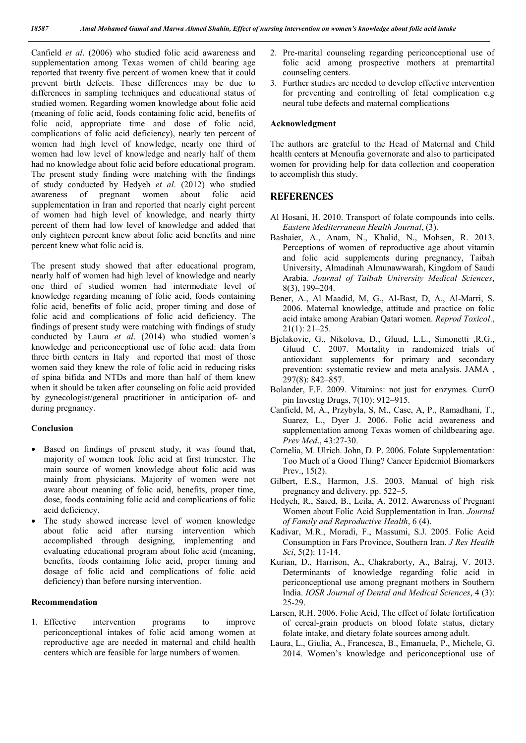Canfield *et al*. (2006) who studied folic acid awareness and supplementation among Texas women of child bearing age reported that twenty five percent of women knew that it could prevent birth defects. These differences may be due to differences in sampling techniques and educational status of studied women. Regarding women knowledge about folic acid (meaning of folic acid, foods containing folic acid, benefits of folic acid, appropriate time and dose of folic acid, complications of folic acid deficiency), nearly ten percent of women had high level of knowledge, nearly one third of women had low level of knowledge and nearly half of them had no knowledge about folic acid before educational program. The present study finding were matching with the findings of study conducted by Hedyeh *et al*. (2012) who studied awareness of pregnant women about folic acid supplementation in Iran and reported that nearly eight percent of women had high level of knowledge, and nearly thirty percent of them had low level of knowledge and added that only eighteen percent knew about folic acid benefits and nine percent knew what folic acid is.

The present study showed that after educational program, nearly half of women had high level of knowledge and nearly one third of studied women had intermediate level of knowledge regarding meaning of folic acid, foods containing folic acid, benefits of folic acid, proper timing and dose of folic acid and complications of folic acid deficiency. The findings of present study were matching with findings of study conducted by Laura *et al*. (2014) who studied women's knowledge and periconceptional use of folic acid: data from three birth centers in Italy and reported that most of those women said they knew the role of folic acid in reducing risks of spina bifida and NTDs and more than half of them knew when it should be taken after counseling on folic acid provided by gynecologist/general practitioner in anticipation of- and during pregnancy.

# **Conclusion**

- Based on findings of present study, it was found that, majority of women took folic acid at first trimester. The main source of women knowledge about folic acid was mainly from physicians. Majority of women were not aware about meaning of folic acid, benefits, proper time, dose, foods containing folic acid and complications of folic acid deficiency.
- The study showed increase level of women knowledge about folic acid after nursing intervention which accomplished through designing, implementing and evaluating educational program about folic acid (meaning, benefits, foods containing folic acid, proper timing and dosage of folic acid and complications of folic acid deficiency) than before nursing intervention.

#### **Recommendation**

1. Effective intervention programs to improve periconceptional intakes of folic acid among women at reproductive age are needed in maternal and child health centers which are feasible for large numbers of women.

- 2. Pre-marital counseling regarding periconceptional use of folic acid among prospective mothers at premartital counseling centers.
- 3. Further studies are needed to develop effective intervention for preventing and controlling of fetal complication e.g neural tube defects and maternal complications

#### **Acknowledgment**

The authors are grateful to the Head of Maternal and Child health centers at Menoufia governorate and also to participated women for providing help for data collection and cooperation to accomplish this study.

# **REFERENCES**

- Al Hosani, H. 2010. Transport of folate compounds into cells. *Eastern Mediterranean Health Journal*, (3).
- Bashaier, A., Anam, N., Khalid, N., Mohsen, R. 2013. Perceptions of women of reproductive age about vitamin and folic acid supplements during pregnancy, Taibah University, Almadinah Almunawwarah, Kingdom of Saudi Arabia. *Journal of Taibah University Medical Sciences*, 8(3), 199–204.
- Bener, A., Al Maadid, M, G., Al-Bast, D, A., Al-Marri, S. 2006. Maternal knowledge, attitude and practice on folic acid intake among Arabian Qatari women. *Reprod Toxicol*., 21(1): 21–25.
- Bjelakovic, G., Nikolova, D., Gluud, L.L., Simonetti ,R.G., Gluud C. 2007. Mortality in randomized trials of antioxidant supplements for primary and secondary prevention: systematic review and meta analysis. JAMA , 297(8): 842–857.
- Bolander, F.F. 2009. Vitamins: not just for enzymes. CurrO pin Investig Drugs, 7(10): 912–915.
- Canfield, M, A., Przybyla, S, M., Case, A, P., Ramadhani, T., Suarez, L., Dyer J. 2006. Folic acid awareness and supplementation among Texas women of childbearing age. *Prev Med*., 43:27-30.
- Cornelia, M. Ulrich. John, D. P. 2006. Folate Supplementation: Too Much of a Good Thing? Cancer Epidemiol Biomarkers Prev., 15(2).
- Gilbert, E.S., Harmon, J.S. 2003. Manual of high risk pregnancy and delivery. pp. 522–5.
- Hedyeh, R., Saied, B., Leila, A. 2012. Awareness of Pregnant Women about Folic Acid Supplementation in Iran. *Journal of Family and Reproductive Health*, 6 (4).
- Kadivar, M.R., Moradi, F., Massumi, S.J. 2005. Folic Acid Consumption in Fars Province, Southern Iran. *J Res Health Sci*, 5(2): 11-14.
- Kurian, D., Harrison, A., Chakraborty, A., Balraj, V. 2013. Determinants of knowledge regarding folic acid in periconceptional use among pregnant mothers in Southern India. *IOSR Journal of Dental and Medical Sciences*, 4 (3): 25-29.
- Larsen, R.H. 2006. Folic Acid, The effect of folate fortification of cereal-grain products on blood folate status, dietary folate intake, and dietary folate sources among adult.
- Laura, L., Giulia, A., Francesca, B., Emanuela, P., Michele, G. 2014. Women's knowledge and periconceptional use of